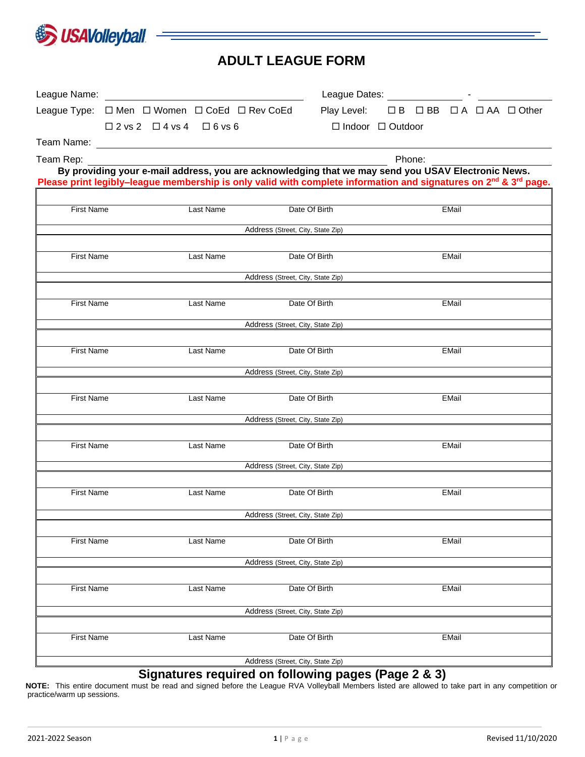

# **ADULT LEAGUE FORM**

|                                                                  |                                                    |           |                                   | League Dates: _____________________ - _________                                                                                                                                                                                                |        |              |                      |
|------------------------------------------------------------------|----------------------------------------------------|-----------|-----------------------------------|------------------------------------------------------------------------------------------------------------------------------------------------------------------------------------------------------------------------------------------------|--------|--------------|----------------------|
| League Type: $\Box$ Men $\Box$ Women $\Box$ CoEd $\Box$ Rev CoEd |                                                    |           |                                   | Play Level:                                                                                                                                                                                                                                    |        |              | □B □BB □A □AA □Other |
|                                                                  | $\square$ 2 vs 2 $\square$ 4 vs 4 $\square$ 6 vs 6 |           |                                   | $\Box$ Indoor $\Box$ Outdoor                                                                                                                                                                                                                   |        |              |                      |
|                                                                  |                                                    |           |                                   |                                                                                                                                                                                                                                                |        |              |                      |
| Team Rep:                                                        |                                                    |           |                                   |                                                                                                                                                                                                                                                | Phone: |              |                      |
|                                                                  |                                                    |           |                                   | By providing your e-mail address, you are acknowledging that we may send you USAV Electronic News.<br>Please print legibly-league membership is only valid with complete information and signatures on 2 <sup>nd</sup> & 3 <sup>rd</sup> page. |        |              |                      |
|                                                                  |                                                    |           |                                   |                                                                                                                                                                                                                                                |        |              |                      |
| <b>First Name</b>                                                |                                                    | Last Name |                                   | Date Of Birth                                                                                                                                                                                                                                  |        | <b>EMail</b> |                      |
|                                                                  |                                                    |           | Address (Street, City, State Zip) |                                                                                                                                                                                                                                                |        |              |                      |
|                                                                  |                                                    |           |                                   |                                                                                                                                                                                                                                                |        |              |                      |
| <b>First Name</b>                                                |                                                    | Last Name |                                   | Date Of Birth                                                                                                                                                                                                                                  |        | EMail        |                      |
|                                                                  |                                                    |           | Address (Street, City, State Zip) |                                                                                                                                                                                                                                                |        |              |                      |
|                                                                  |                                                    |           |                                   |                                                                                                                                                                                                                                                |        |              |                      |
| <b>First Name</b>                                                |                                                    | Last Name |                                   | Date Of Birth                                                                                                                                                                                                                                  |        | EMail        |                      |
|                                                                  |                                                    |           | Address (Street, City, State Zip) |                                                                                                                                                                                                                                                |        |              |                      |
| First Name                                                       |                                                    | Last Name |                                   | Date Of Birth                                                                                                                                                                                                                                  |        | EMail        |                      |
|                                                                  |                                                    |           |                                   |                                                                                                                                                                                                                                                |        |              |                      |
|                                                                  |                                                    |           | Address (Street, City, State Zip) |                                                                                                                                                                                                                                                |        |              |                      |
| <b>First Name</b>                                                |                                                    | Last Name |                                   | Date Of Birth                                                                                                                                                                                                                                  |        | EMail        |                      |
|                                                                  |                                                    |           | Address (Street, City, State Zip) |                                                                                                                                                                                                                                                |        |              |                      |
|                                                                  |                                                    |           |                                   |                                                                                                                                                                                                                                                |        |              |                      |
| <b>First Name</b>                                                |                                                    | Last Name |                                   | Date Of Birth                                                                                                                                                                                                                                  |        | <b>EMail</b> |                      |
|                                                                  |                                                    |           | Address (Street, City, State Zip) |                                                                                                                                                                                                                                                |        |              |                      |
|                                                                  |                                                    |           |                                   |                                                                                                                                                                                                                                                |        |              |                      |
| <b>First Name</b>                                                |                                                    | Last Name |                                   | Date Of Birth                                                                                                                                                                                                                                  |        | <b>EMail</b> |                      |
|                                                                  |                                                    |           | Address (Street, City, State Zip) |                                                                                                                                                                                                                                                |        |              |                      |
|                                                                  |                                                    |           |                                   |                                                                                                                                                                                                                                                |        |              |                      |
| <b>First Name</b>                                                |                                                    | Last Name |                                   | Date Of Birth                                                                                                                                                                                                                                  |        | EMail        |                      |
|                                                                  |                                                    |           | Address (Street, City, State Zip) |                                                                                                                                                                                                                                                |        |              |                      |
|                                                                  |                                                    |           |                                   |                                                                                                                                                                                                                                                |        |              |                      |
| <b>First Name</b>                                                |                                                    | Last Name |                                   | Date Of Birth                                                                                                                                                                                                                                  |        | EMail        |                      |
|                                                                  |                                                    |           | Address (Street, City, State Zip) |                                                                                                                                                                                                                                                |        |              |                      |
|                                                                  |                                                    |           |                                   |                                                                                                                                                                                                                                                |        |              |                      |
| <b>First Name</b>                                                |                                                    | Last Name |                                   | Date Of Birth                                                                                                                                                                                                                                  |        | EMail        |                      |
|                                                                  |                                                    |           | Address (Street, City, State Zip) |                                                                                                                                                                                                                                                |        |              |                      |

#### **Signatures required on following pages (Page 2 & 3)**

**NOTE:** This entire document must be read and signed before the League RVA Volleyball Members listed are allowed to take part in any competition or practice/warm up sessions.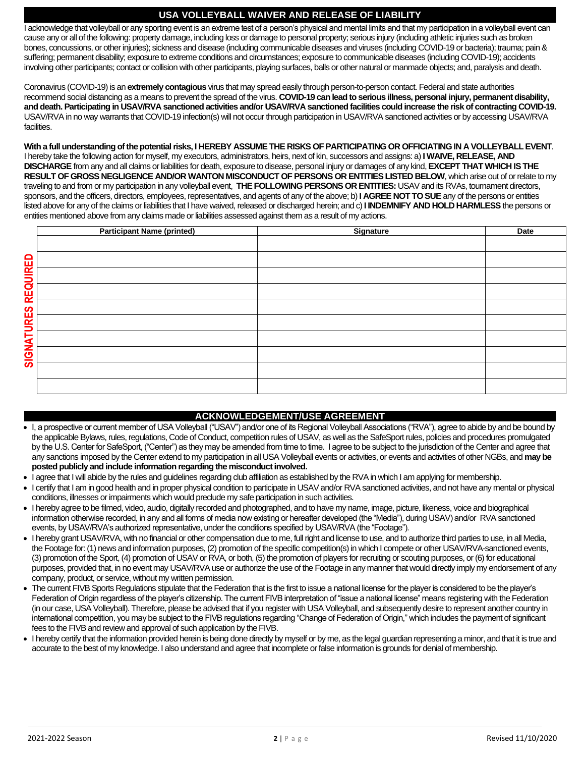## **USA VOLLEYBALL WAIVER AND RELEASE OF LIABILITY**

I acknowledge that volleyball or any sporting event is an extreme test of a person's physical and mental limits and that my participation in a volleyball event can cause any or all of the following: property damage, including loss or damage to personal property; serious injury (including athletic injuries such as broken bones, concussions, or other injuries); sickness and disease (including communicable diseases and viruses (including COVID-19 or bacteria); trauma; pain & suffering; permanent disability; exposure to extreme conditions and circumstances; exposure to communicable diseases (including COVID-19); accidents involving other participants; contact or collision with other participants, playing surfaces, balls or other natural or manmade objects; and, paralysis and death.

Coronavirus (COVID-19) is an **extremely contagious** virus that may spread easily through person-to-person contact. Federal and state authorities recommend social distancing as a means to prevent the spread of the virus. **COVID-19 can lead to serious illness, personal injury, permanent disability, and death. Participating in USAV/RVA sanctioned activities and/or USAV/RVA sanctioned facilities could increase the risk of contracting COVID-19.**  USAV/RVAin no way warrants that COVID-19 infection(s) will not occur through participation in USAV/RVA sanctioned activities or by accessing USAV/RVA facilities.

**With a full understanding of the potential risks, I HEREBY ASSUME THE RISKS OF PARTICIPATING OR OFFICIATING IN A VOLLEYBALL EVENT**. I hereby take the following action for myself, my executors, administrators, heirs, next of kin, successors and assigns: a) **I WAIVE, RELEASE, AND DISCHARGE** from any and all claims or liabilities for death, exposure to disease, personal injury or damages of any kind, **EXCEPT THAT WHICH IS THE RESULT OF GROSS NEGLIGENCE AND/OR WANTON MISCONDUCT OF PERSONS OR ENTITIES LISTED BELOW**, which arise out of or relate to my traveling to and from or my participation in any volleyball event, **THE FOLLOWING PERSONS OR ENTITIES:** USAV and its RVAs, tournament directors, sponsors, and the officers, directors, employees, representatives, and agents of any of the above; b) **I AGREE NOT TO SUE** any of the persons or entities listed above for any of the claims or liabilities that I have waived, released or discharged herein; and c) **I INDEMNIFY AND HOLD HARMLESS** the persons or entities mentioned above from any claims made or liabilities assessed against them as a result of my actions.

|                            | <b>Participant Name (printed)</b>                                                                                                                                | Signature                                                                                                                                                            | <b>Date</b> |  |  |  |
|----------------------------|------------------------------------------------------------------------------------------------------------------------------------------------------------------|----------------------------------------------------------------------------------------------------------------------------------------------------------------------|-------------|--|--|--|
|                            |                                                                                                                                                                  |                                                                                                                                                                      |             |  |  |  |
|                            |                                                                                                                                                                  |                                                                                                                                                                      |             |  |  |  |
|                            |                                                                                                                                                                  |                                                                                                                                                                      |             |  |  |  |
|                            |                                                                                                                                                                  |                                                                                                                                                                      |             |  |  |  |
|                            |                                                                                                                                                                  |                                                                                                                                                                      |             |  |  |  |
| <b>SIGNATURES REQUIRED</b> |                                                                                                                                                                  |                                                                                                                                                                      |             |  |  |  |
|                            |                                                                                                                                                                  |                                                                                                                                                                      |             |  |  |  |
|                            |                                                                                                                                                                  |                                                                                                                                                                      |             |  |  |  |
|                            |                                                                                                                                                                  |                                                                                                                                                                      |             |  |  |  |
|                            |                                                                                                                                                                  |                                                                                                                                                                      |             |  |  |  |
|                            |                                                                                                                                                                  |                                                                                                                                                                      |             |  |  |  |
|                            |                                                                                                                                                                  |                                                                                                                                                                      |             |  |  |  |
|                            |                                                                                                                                                                  |                                                                                                                                                                      |             |  |  |  |
|                            |                                                                                                                                                                  |                                                                                                                                                                      |             |  |  |  |
|                            |                                                                                                                                                                  |                                                                                                                                                                      |             |  |  |  |
|                            |                                                                                                                                                                  |                                                                                                                                                                      |             |  |  |  |
|                            |                                                                                                                                                                  |                                                                                                                                                                      |             |  |  |  |
|                            |                                                                                                                                                                  | <b>ACKNOWLEDGEMENT/USE AGREEMENT</b>                                                                                                                                 |             |  |  |  |
|                            |                                                                                                                                                                  | I, a prospective or current member of USA Volleyball ("USAV") and/or one of its Regional Volleyball Associations ("RVA"), agree to abide by and be bound by          |             |  |  |  |
|                            |                                                                                                                                                                  | the applicable Bylaws, rules, regulations, Code of Conduct, competition rules of USAV, as well as the SafeSport rules, policies and procedures promulgated           |             |  |  |  |
|                            |                                                                                                                                                                  | by the U.S. Center for SafeSport, ("Center") as they may be amended from time to time. I agree to be subject to the jurisdiction of the Center and agree that        |             |  |  |  |
|                            |                                                                                                                                                                  | any sanctions imposed by the Center extend to my participation in all USA Volleyball events or activities, or events and activities of other NGBs, and may be        |             |  |  |  |
|                            | posted publicly and include information regarding the misconduct involved.                                                                                       |                                                                                                                                                                      |             |  |  |  |
|                            |                                                                                                                                                                  | I agree that I will abide by the rules and guidelines regarding club affiliation as established by the RVA in which I am applying for membership.                    |             |  |  |  |
|                            | I certify that I am in good health and in proper physical condition to participate in USAV and/or RVA sanctioned activities, and not have any mental or physical |                                                                                                                                                                      |             |  |  |  |
|                            | conditions, illnesses or impairments which would preclude my safe participation in such activities.                                                              |                                                                                                                                                                      |             |  |  |  |
|                            | I hereby agree to be filmed, video, audio, digitally recorded and photographed, and to have my name, image, picture, likeness, voice and biographical            |                                                                                                                                                                      |             |  |  |  |
|                            | information otherwise recorded, in any and all forms of media now existing or hereafter developed (the "Media"), during USAV) and/or RVA sanctioned              |                                                                                                                                                                      |             |  |  |  |
|                            | events, by USAV/RVA's authorized representative, under the conditions specified by USAV/RVA (the "Footage").                                                     |                                                                                                                                                                      |             |  |  |  |
|                            | I hereby grant USAV/RVA, with no financial or other compensation due to me, full right and license to use, and to authorize third parties to use, in all Media,  |                                                                                                                                                                      |             |  |  |  |
|                            | the Footage for: (1) news and information purposes, (2) promotion of the specific competition(s) in which I compete or other USAV/RVA-sanctioned events,         |                                                                                                                                                                      |             |  |  |  |
|                            | (3) promotion of the Sport, (4) promotion of USAV or RVA, or both, (5) the promotion of players for recruiting or scouting purposes, or (6) for educational      |                                                                                                                                                                      |             |  |  |  |
|                            |                                                                                                                                                                  | purposes, provided that, in no event may USAV/RVA use or authorize the use of the Footage in any manner that would directly imply my endorsement of any              |             |  |  |  |
|                            | company, product, or service, without my written permission.                                                                                                     |                                                                                                                                                                      |             |  |  |  |
|                            |                                                                                                                                                                  | The current FIVB Sports Regulations stipulate that the Federation that is the first to issue a national license for the player is considered to be the player's      |             |  |  |  |
|                            |                                                                                                                                                                  | Federation of Origin regardless of the player's citizenship. The current FIVB interpretation of "issue a national license" means registering with the Federation     |             |  |  |  |
|                            |                                                                                                                                                                  | (in our case, USA Volleyball). Therefore, please be advised that if you register with USA Volleyball, and subsequently desire to represent another country in        |             |  |  |  |
|                            |                                                                                                                                                                  | international competition, you may be subject to the FIVB regulations regarding "Change of Federation of Origin," which includes the payment of significant          |             |  |  |  |
|                            | fees to the FIVB and review and approval of such application by the FIVB.                                                                                        |                                                                                                                                                                      |             |  |  |  |
|                            |                                                                                                                                                                  | I hereby certify that the information provided herein is being done directly by myself or by me, as the legal guardian representing a minor, and that it is true and |             |  |  |  |
|                            |                                                                                                                                                                  | accurate to the best of my knowledge. I also understand and agree that incomplete or false information is grounds for denial of membership.                          |             |  |  |  |

### **ACKNOWLEDGEMENT/USE AGREEMENT**

- I, a prospective or current member of USA Volleyball ("USAV") and/or one of its Regional Volleyball Associations ("RVA"), agree to abide by and be bound by the applicable Bylaws, rules, regulations, Code of Conduct, competition rules of USAV, as well as the SafeSport rules, policies and procedures promulgated by the U.S. Center for SafeSport, ("Center") as they may be amended from time to time. I agree to be subject to the jurisdiction of the Center and agree that any sanctions imposed by the Center extend to my participation in all USA Volleyball events or activities, or events and activities of other NGBs, and **may be posted publicly and include information regarding the misconduct involved.**
- I agree that I will abide by the rules and guidelines regarding club affiliation as established by the RVA in which I am applying for membership.
- I certify that I am in good health and in proper physical condition to participate in USAV and/or RVA sanctioned activities, and not have any mental or physical conditions, illnesses or impairments which would preclude my safe participation in such activities.
- I hereby agree to be filmed, video, audio, digitally recorded and photographed, and to have my name, image, picture, likeness, voice and biographical information otherwise recorded, in any and all forms of media now existing or hereafter developed (the "Media"), during USAV) and/or RVA sanctioned events, by USAV/RVA's authorized representative, under the conditions specified by USAV/RVA (the "Footage").
- I hereby grant USAV/RVA, with no financial or other compensation due to me, full right and license to use, and to authorize third parties to use, in all Media, the Footage for: (1) news and information purposes, (2) promotion of the specific competition(s) in which I compete or other USAV/RVA-sanctioned events, (3) promotion of the Sport, (4) promotion of USAV or RVA, or both, (5) the promotion of players for recruiting or scouting purposes, or (6) for educational purposes, provided that, in no event may USAV/RVA use or authorize the use of the Footage in any manner that would directly imply my endorsement of any company, product, or service, without my written permission.
- The current FIVB Sports Regulations stipulate that the Federation that is the first to issue a national license for the player is considered to be the player's Federation of Origin regardless of the player's citizenship. The current FIVB interpretation of "issue a national license" means registering with the Federation (in our case, USA Volleyball). Therefore, please be advised that if you register with USA Volleyball, and subsequently desire to represent another country in international competition, you may be subject to the FIVB regulations regarding "Change of Federation of Origin," which includes the payment of significant fees to the FIVB and review and approval of such application by the FIVB.
- I hereby certify that the information provided herein is being done directly by myself or by me, as the legal guardian representing a minor, and that it is true and